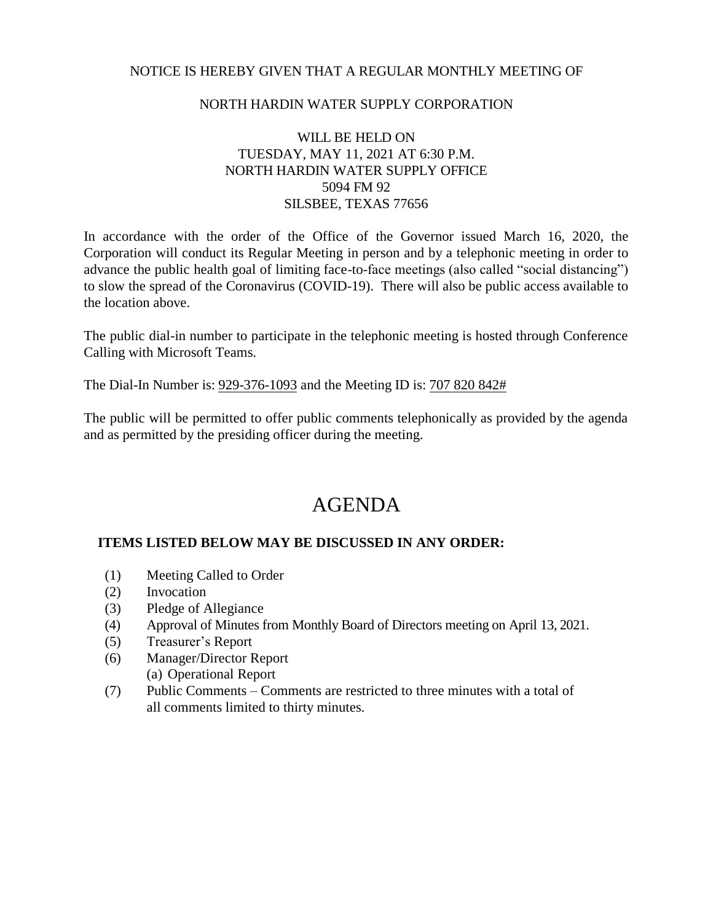### NOTICE IS HEREBY GIVEN THAT A REGULAR MONTHLY MEETING OF

### NORTH HARDIN WATER SUPPLY CORPORATION

## WILL BE HELD ON TUESDAY, MAY 11, 2021 AT 6:30 P.M. NORTH HARDIN WATER SUPPLY OFFICE 5094 FM 92 SILSBEE, TEXAS 77656

In accordance with the order of the Office of the Governor issued March 16, 2020, the Corporation will conduct its Regular Meeting in person and by a telephonic meeting in order to advance the public health goal of limiting face-to-face meetings (also called "social distancing") to slow the spread of the Coronavirus (COVID-19). There will also be public access available to the location above.

The public dial-in number to participate in the telephonic meeting is hosted through Conference Calling with Microsoft Teams.

The Dial-In Number is: 929-376-1093 and the Meeting ID is: 707 820 842#

The public will be permitted to offer public comments telephonically as provided by the agenda and as permitted by the presiding officer during the meeting.

# AGENDA

## **ITEMS LISTED BELOW MAY BE DISCUSSED IN ANY ORDER:**

- (1) Meeting Called to Order
- (2) Invocation
- (3) Pledge of Allegiance
- (4) Approval of Minutes from Monthly Board of Directors meeting on April 13, 2021.
- (5) Treasurer's Report
- (6) Manager/Director Report (a) Operational Report
- (7) Public Comments Comments are restricted to three minutes with a total of all comments limited to thirty minutes.